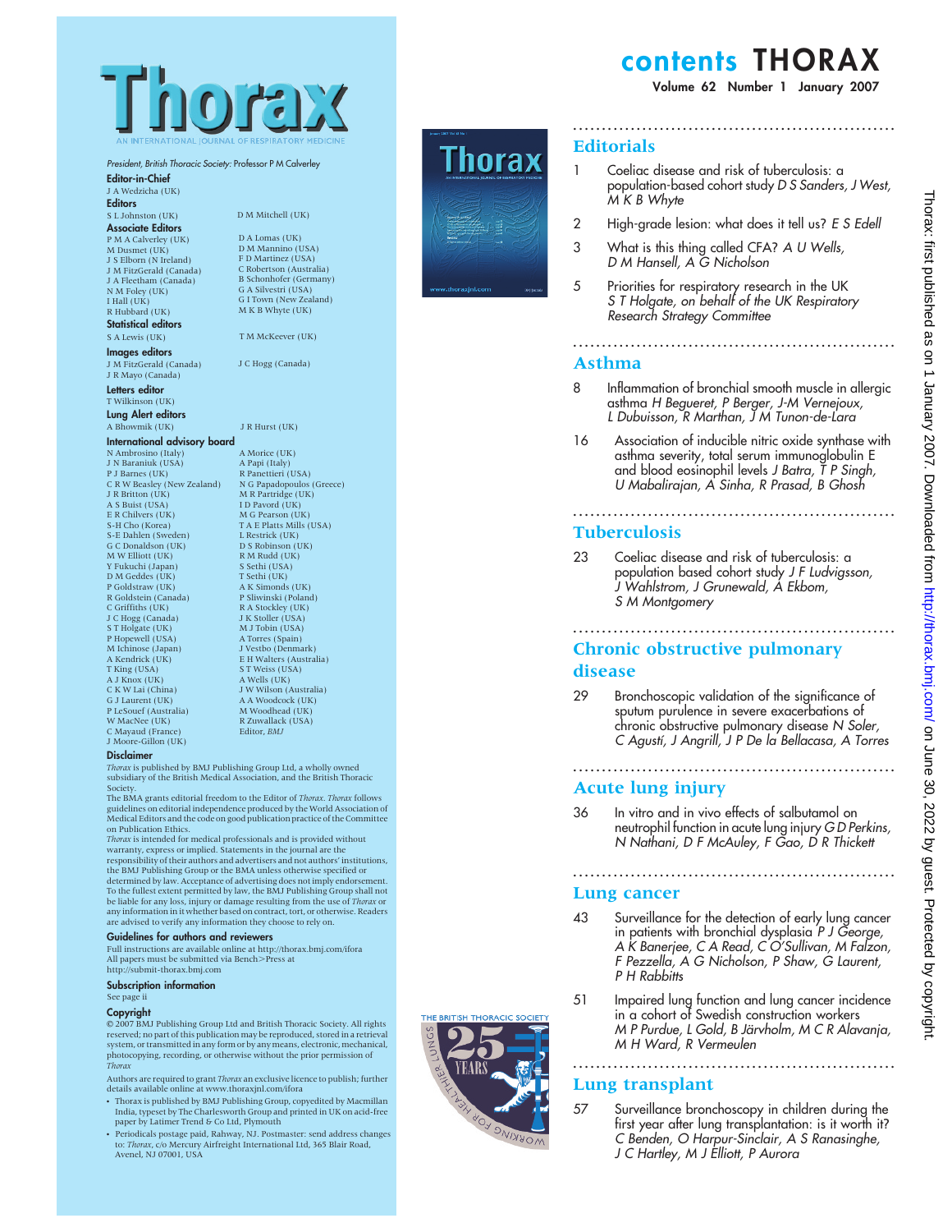

President, British Thoracic Society: Professor P M Calverley Editor-in-Chief

D M Mitchell (UK)

D A Lomas (UK) D M Mannino (USA) F D Martinez (USA) C Robertson (Australia) B Schonhofer (Germany) G A Silvestri (USA) G I Town (New Zealand) M K B Whyte (UK)

T M McKeever (UK)

J C Hogg (Canada)

A Papi (Italy) R Panettieri (USA) N G Papadopoulos (Greece) M R Partridge (UK) I D Pavord (UK) M G Pearson (UK) T A E Platts Mills (USA) L Restrick (UK) D S Robinson (UK) R M Rudd (UK) S Sethi (USA) T Sethi (UK) A K Simonds (UK) P Sliwinski (Poland) R A Stockley (UK) J K Stoller (USA) M J Tobin (USA) A Torres (Spain) J Vestbo (Denmark) E H Walters (Australia) S T Weiss (USA) A Wells (UK) J W Wilson (Australia) A A Woodcock (UK) M Woodhead (UK) R Zuwallack (USA)<br>Editor*, BMJ* 

J A Wedzicha (UK) Editors<br>S.L.Johnston (UK)

#### Associate Editors

P M A Calverley (UK) M Dusmet (UK) J S Elborn (N Ireland) J M FitzGerald (Canada) J A Fleetham (Canada) N M Foley (UK) I Hall (UK) R Hubbard (UK)

**Statistical editors**<br>S A Lewis (UK)

Images editors J M FitzGerald (Canada) J R Mayo (Canada)

Letters editor T Wilkinson (UK)

Lung Alert editors A Bhowmik (UK) J R Hurst (UK)

#### International advisory board A Morice (UK)

N Ambrosino (Italy) J N Baraniuk (USA) P J Barnes (UK) C R W Beasley (New Zealand) J R Britton (UK) A S Buist (USA) E R Chilvers (UK) S-H Cho (Korea) S-E Dahlen (Sweden) G C Donaldson (UK) M W Elliott (UK) Y Fukuchi (Japan) D M Geddes (UK) P Goldstraw (UK) R Goldstein (Canada) C Griffiths (UK) J C Hogg (Canada) S T Holgate (UK) P Hopewell (USA) M Ichinose (Japan) A Kendrick (UK) T King (USA) A J Knox (UK) C K W Lai (China) G J Laurent (UK) P LeSouef (Australia) W MacNee (UK) C Mayaud (France) J Moore-Gillon (UK)

#### Disclaimer

Thorax is published by BMJ Publishing Group Ltd, a wholly owned subsidiary of the British Medical Association, and the British Thoracic

Society.<br>The BMA grants editorial freedom to the Editor of *Thorax. Thorax* follows guidelines on editorial independence produced by the World Association of Medical Editors and the code on good publication practice of the Committee on Publication Ethics.

Thorax is intended for medical professionals and is provided without warranty, express or implied. Statements in the journal are the responsibility of their authors and advertisers and not authors' institutions, the BMJ Publishing Group or the BMA unless otherwise specified or determined by law. Acceptance of advertising does not imply endorsement. To the fullest extent permitted by law, the BMJ Publishing Group shall not be liable for any loss, injury or damage resulting from the use of *Thorax* or<br>any information in it whether based on contract, tort, or otherwise. Readers are advised to verify any information they choose to rely on.

#### Guidelines for authors and reviewers

Full instructions are available online at http://thorax.bmj.com/ifora All papers must be submitted via Bench>Press at http://submit-thorax.bmj.com

Subscription information

#### See page ii

#### Copyright

© 2007 BMJ Publishing Group Ltd and British Thoracic Society. All rights<br>reserved; no part of this publication may be reproduced, stored in a retrieval<br>system, or transmitted in any form or by any means, electronic, mechan photocopying, recording, or otherwise without the prior permission of Thorax

Authors are required to grant *Thorax* an exclusive licence to publish; further<br>details available online at www.thoraxjnl.com/ifora

- N Thorax is published by BMJ Publishing Group, copyedited by Macmillan India, typeset by The Charlesworth Group and printed in UK on acid-free paper by Latimer Trend & Co Ltd, Plymouth
- Periodicals postage paid, Rahway, NJ. Postmaster: send address changes to: *Thorax, c/*o Mercury Airfreight International Ltd, 365 Blair Road,<br>Avenel, NJ 07001, USA



# contents THORAX

Volume 62 Number 1 January 2007

#### **Editorials**

1 Coeliac disease and risk of tuberculosis: a population-based cohort study D S Sanders, J West, M K B Whyte

........................................................

- 2 High-grade lesion: what does it tell us ? E S Edell
- 3 What is this thing called CFA ? A U Wells, D M Hansell, A G Nicholson
- 5 Priorities for respiratory research in the UK S T Holgate, on behalf of the UK Respiratory Research Strategy Committee

#### Asthma

8 Inflammation of bronchial smooth muscle in allergic asthma H Begueret, P Berger, J-M Vernejoux, L Dubuisson, R Marthan, J M Tunon-de-Lara

........................................................

16 Association of inducible nitric oxide synthase with asthma severity, total serum immunoglobulin E and blood eosinophil levels J Batra, T P Singh, U Mabalirajan, A Sinha, R Prasad, B Ghosh

........................................................

#### **Tuberculosis**

23 Coeliac disease and risk of tuberculosis: a population based cohort study J F Ludvigsson, J Wahlstrom, J Grunewald, A Ekbom, S M Montgomery

........................................................

## Chronic obstructive pulmonary disease

29 Bronchoscopic validation of the significance of sputum purulence in severe exacerbations of chronic obstructive pulmonary disease N Soler, C Agustí, J Angrill, J P De la Bellacasa, A Torres

........................................................

#### Acute lung injury

36 In vitro and in vivo effects of salbutamol on neutrophil function in acute lung injury G D Perkins, N Nathani, D F McAuley, F Gao, D R Thickett

........................................................

### Lung cancer

- 43 Surveillance for the detection of early lung cancer in patients with bronchial dysplasia  $P$  J George, A K Banerjee, C A Read, C O'Sullivan, M Falzon, F Pezzella, A G Nicholson, P Shaw, G Laurent, P H Rabbitts
- 51 Impaired lung function and lung cancer incidence in a cohort of Swedish construction workers M P Purdue, L Gold, B Järvholm, M C R Alavanja, M H Ward, R Vermeulen

........................................................

#### Lung transplant

57 Surveillance bronchoscopy in children during the first year after lung transplantation: is it worth it ? C Benden, O Harpur-Sinclair, A S Ranasinghe, J C Hartley, M J Elliott, P Aurora